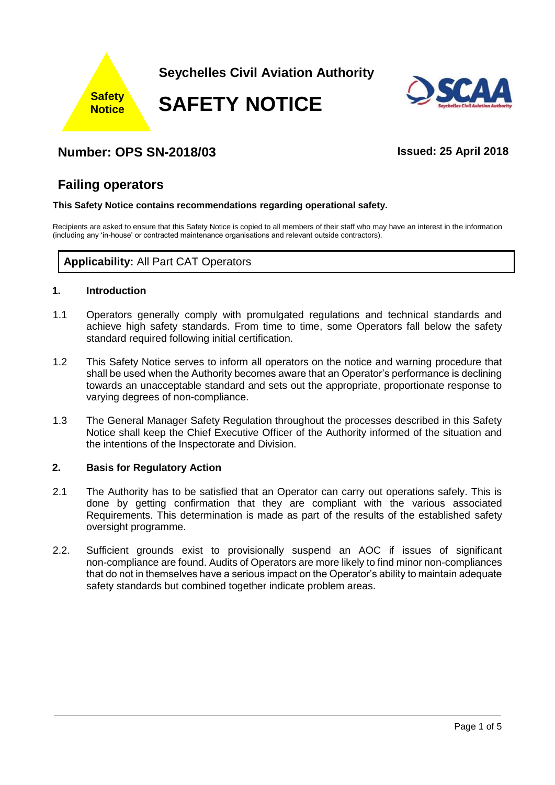



# **Number: OPS SN-2018/03 Issued: 25 April 2018**

# **Failing operators**

#### **This Safety Notice contains recommendations regarding operational safety.**

Recipients are asked to ensure that this Safety Notice is copied to all members of their staff who may have an interest in the information (including any 'in-house' or contracted maintenance organisations and relevant outside contractors).

# **Applicability:** All Part CAT Operators

#### **1. Introduction**

- 1.1 Operators generally comply with promulgated regulations and technical standards and achieve high safety standards. From time to time, some Operators fall below the safety standard required following initial certification.
- 1.2 This Safety Notice serves to inform all operators on the notice and warning procedure that shall be used when the Authority becomes aware that an Operator's performance is declining towards an unacceptable standard and sets out the appropriate, proportionate response to varying degrees of non-compliance.
- 1.3 The General Manager Safety Regulation throughout the processes described in this Safety Notice shall keep the Chief Executive Officer of the Authority informed of the situation and the intentions of the Inspectorate and Division.

### **2. Basis for Regulatory Action**

- 2.1 The Authority has to be satisfied that an Operator can carry out operations safely. This is done by getting confirmation that they are compliant with the various associated Requirements. This determination is made as part of the results of the established safety oversight programme.
- 2.2. Sufficient grounds exist to provisionally suspend an AOC if issues of significant non-compliance are found. Audits of Operators are more likely to find minor non-compliances that do not in themselves have a serious impact on the Operator's ability to maintain adequate safety standards but combined together indicate problem areas.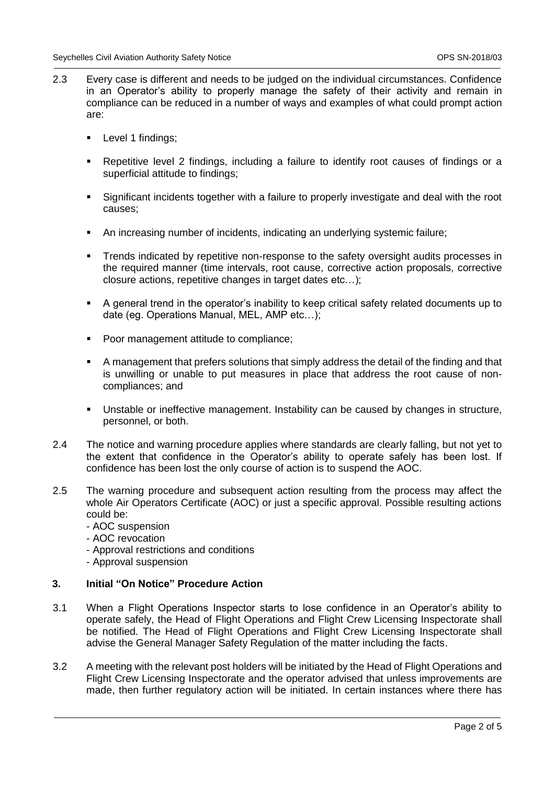- 2.3 Every case is different and needs to be judged on the individual circumstances. Confidence in an Operator's ability to properly manage the safety of their activity and remain in compliance can be reduced in a number of ways and examples of what could prompt action are:
	- **Level 1 findings;**
	- Repetitive level 2 findings, including a failure to identify root causes of findings or a superficial attitude to findings:
	- Significant incidents together with a failure to properly investigate and deal with the root causes;
	- An increasing number of incidents, indicating an underlying systemic failure;
	- Trends indicated by repetitive non-response to the safety oversight audits processes in the required manner (time intervals, root cause, corrective action proposals, corrective closure actions, repetitive changes in target dates etc…);
	- A general trend in the operator's inability to keep critical safety related documents up to date (eg. Operations Manual, MEL, AMP etc…);
	- Poor management attitude to compliance;
	- A management that prefers solutions that simply address the detail of the finding and that is unwilling or unable to put measures in place that address the root cause of noncompliances; and
	- Unstable or ineffective management. Instability can be caused by changes in structure, personnel, or both.
- 2.4 The notice and warning procedure applies where standards are clearly falling, but not yet to the extent that confidence in the Operator's ability to operate safely has been lost. If confidence has been lost the only course of action is to suspend the AOC.
- 2.5 The warning procedure and subsequent action resulting from the process may affect the whole Air Operators Certificate (AOC) or just a specific approval. Possible resulting actions could be:
	- AOC suspension
	- AOC revocation
	- Approval restrictions and conditions
	- Approval suspension

### **3. Initial "On Notice" Procedure Action**

- 3.1 When a Flight Operations Inspector starts to lose confidence in an Operator's ability to operate safely, the Head of Flight Operations and Flight Crew Licensing Inspectorate shall be notified. The Head of Flight Operations and Flight Crew Licensing Inspectorate shall advise the General Manager Safety Regulation of the matter including the facts.
- 3.2 A meeting with the relevant post holders will be initiated by the Head of Flight Operations and Flight Crew Licensing Inspectorate and the operator advised that unless improvements are made, then further regulatory action will be initiated. In certain instances where there has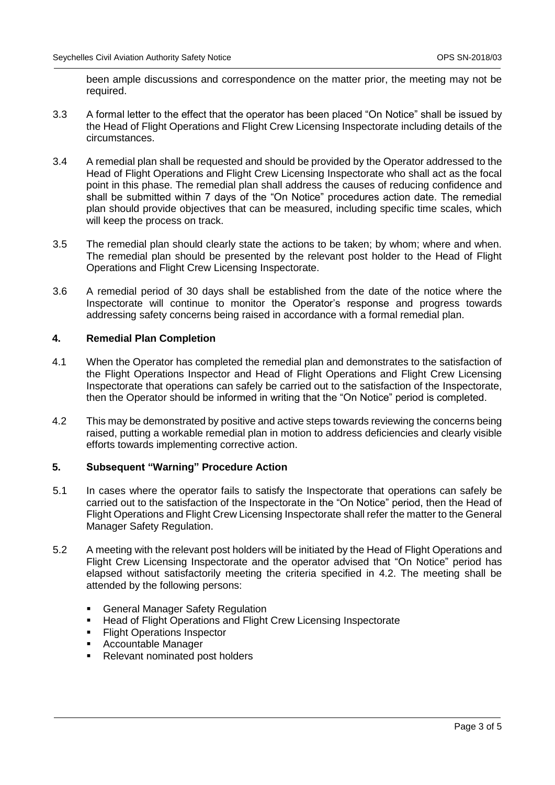been ample discussions and correspondence on the matter prior, the meeting may not be required.

- 3.3 A formal letter to the effect that the operator has been placed "On Notice" shall be issued by the Head of Flight Operations and Flight Crew Licensing Inspectorate including details of the circumstances.
- 3.4 A remedial plan shall be requested and should be provided by the Operator addressed to the Head of Flight Operations and Flight Crew Licensing Inspectorate who shall act as the focal point in this phase. The remedial plan shall address the causes of reducing confidence and shall be submitted within 7 days of the "On Notice" procedures action date. The remedial plan should provide objectives that can be measured, including specific time scales, which will keep the process on track.
- 3.5 The remedial plan should clearly state the actions to be taken; by whom; where and when. The remedial plan should be presented by the relevant post holder to the Head of Flight Operations and Flight Crew Licensing Inspectorate.
- 3.6 A remedial period of 30 days shall be established from the date of the notice where the Inspectorate will continue to monitor the Operator's response and progress towards addressing safety concerns being raised in accordance with a formal remedial plan.

#### **4. Remedial Plan Completion**

- 4.1 When the Operator has completed the remedial plan and demonstrates to the satisfaction of the Flight Operations Inspector and Head of Flight Operations and Flight Crew Licensing Inspectorate that operations can safely be carried out to the satisfaction of the Inspectorate, then the Operator should be informed in writing that the "On Notice" period is completed.
- 4.2 This may be demonstrated by positive and active steps towards reviewing the concerns being raised, putting a workable remedial plan in motion to address deficiencies and clearly visible efforts towards implementing corrective action.

#### **5. Subsequent "Warning" Procedure Action**

- 5.1 In cases where the operator fails to satisfy the Inspectorate that operations can safely be carried out to the satisfaction of the Inspectorate in the "On Notice" period, then the Head of Flight Operations and Flight Crew Licensing Inspectorate shall refer the matter to the General Manager Safety Regulation.
- 5.2 A meeting with the relevant post holders will be initiated by the Head of Flight Operations and Flight Crew Licensing Inspectorate and the operator advised that "On Notice" period has elapsed without satisfactorily meeting the criteria specified in 4.2. The meeting shall be attended by the following persons:
	- General Manager Safety Regulation
	- Head of Flight Operations and Flight Crew Licensing Inspectorate
	- **Flight Operations Inspector**
	- Accountable Manager
	- Relevant nominated post holders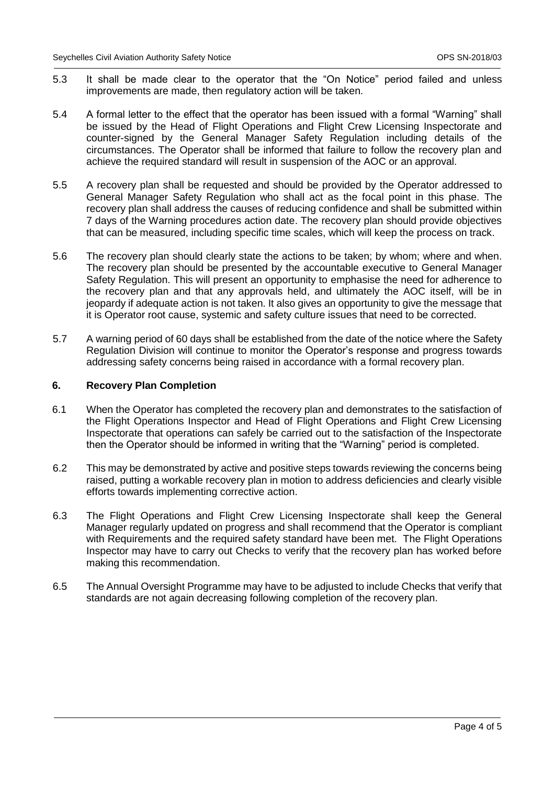- 5.3 It shall be made clear to the operator that the "On Notice" period failed and unless improvements are made, then regulatory action will be taken.
- 5.4 A formal letter to the effect that the operator has been issued with a formal "Warning" shall be issued by the Head of Flight Operations and Flight Crew Licensing Inspectorate and counter-signed by the General Manager Safety Regulation including details of the circumstances. The Operator shall be informed that failure to follow the recovery plan and achieve the required standard will result in suspension of the AOC or an approval.
- 5.5 A recovery plan shall be requested and should be provided by the Operator addressed to General Manager Safety Regulation who shall act as the focal point in this phase. The recovery plan shall address the causes of reducing confidence and shall be submitted within 7 days of the Warning procedures action date. The recovery plan should provide objectives that can be measured, including specific time scales, which will keep the process on track.
- 5.6 The recovery plan should clearly state the actions to be taken; by whom; where and when. The recovery plan should be presented by the accountable executive to General Manager Safety Regulation. This will present an opportunity to emphasise the need for adherence to the recovery plan and that any approvals held, and ultimately the AOC itself, will be in jeopardy if adequate action is not taken. It also gives an opportunity to give the message that it is Operator root cause, systemic and safety culture issues that need to be corrected.
- 5.7 A warning period of 60 days shall be established from the date of the notice where the Safety Regulation Division will continue to monitor the Operator's response and progress towards addressing safety concerns being raised in accordance with a formal recovery plan.

#### **6. Recovery Plan Completion**

- 6.1 When the Operator has completed the recovery plan and demonstrates to the satisfaction of the Flight Operations Inspector and Head of Flight Operations and Flight Crew Licensing Inspectorate that operations can safely be carried out to the satisfaction of the Inspectorate then the Operator should be informed in writing that the "Warning" period is completed.
- 6.2 This may be demonstrated by active and positive steps towards reviewing the concerns being raised, putting a workable recovery plan in motion to address deficiencies and clearly visible efforts towards implementing corrective action.
- 6.3 The Flight Operations and Flight Crew Licensing Inspectorate shall keep the General Manager regularly updated on progress and shall recommend that the Operator is compliant with Requirements and the required safety standard have been met. The Flight Operations Inspector may have to carry out Checks to verify that the recovery plan has worked before making this recommendation.
- 6.5 The Annual Oversight Programme may have to be adjusted to include Checks that verify that standards are not again decreasing following completion of the recovery plan.